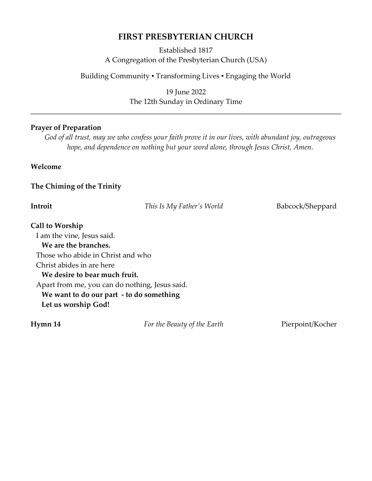# **FIRST PRESBYTERIAN CHURCH**

Established 1817 A Congregation of the Presbyterian Church (USA)

Building Community ▪ Transforming Lives ▪ Engaging the World

19 June 2022 The 12th Sunday in Ordinary Time

## **Prayer of Preparation**

*God of all trust, may we who confess your faith prove it in our lives, with abundant joy, outrageous hope, and dependence on nothing but your word alone, through Jesus Christ, Amen.*

**Welcome** 

**The Chiming of the Trinity**

| This Is My Father's World | Babcock/Sheppard                                                                                                                                                 |
|---------------------------|------------------------------------------------------------------------------------------------------------------------------------------------------------------|
|                           |                                                                                                                                                                  |
|                           |                                                                                                                                                                  |
|                           |                                                                                                                                                                  |
|                           |                                                                                                                                                                  |
|                           |                                                                                                                                                                  |
|                           |                                                                                                                                                                  |
|                           |                                                                                                                                                                  |
|                           |                                                                                                                                                                  |
|                           |                                                                                                                                                                  |
|                           |                                                                                                                                                                  |
|                           | Those who abide in Christ and who<br>We desire to bear much fruit.<br>Apart from me, you can do nothing, Jesus said.<br>We want to do our part - to do something |

**Hymn 14** *For the Beauty of the Earth* Pierpoint/Kocher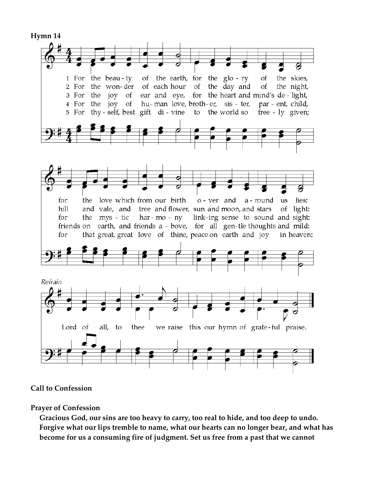

# **Call to Confession**

### **Prayer of Confession**

**Gracious God, our sins are too heavy to carry, too real to hide, and too deep to undo. Forgive what our lips tremble to name, what our hearts can no longer bear, and what has become for us a consuming fire of judgment. Set us free from a past that we cannot**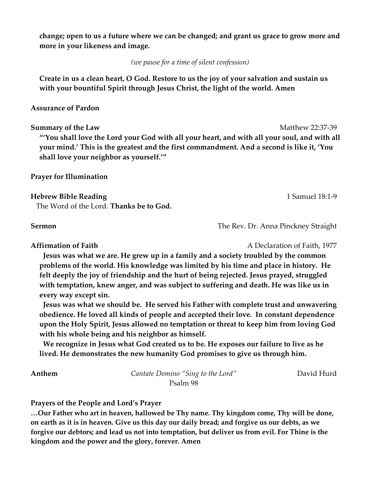**change; open to us a future where we can be changed; and grant us grace to grow more and more in your likeness and image.** 

*(we pause for a time of silent confession)*

**Create in us a clean heart, O God. Restore to us the joy of your salvation and sustain us with your bountiful Spirit through Jesus Christ, the light of the world. Amen**

#### **Assurance of Pardon**

**Summary of the Law** Matthew 22:37-39 **"'You shall love the Lord your God with all your heart, and with all your soul, and with all your mind.' This is the greatest and the first commandment. And a second is like it, 'You shall love your neighbor as yourself.'"**

#### **Prayer for Illumination**

#### **Hebrew Bible Reading** 1 Samuel 18:1-9

The Word of the Lord. **Thanks be to God.**

**Sermon The Rev. Dr. Anna Pinckney Straight** 

**Affirmation of Faith A Declaration of Faith, 1977** 

**Jesus was what we are. He grew up in a family and a society troubled by the common problems of the world. His knowledge was limited by his time and place in history. He felt deeply the joy of friendship and the hurt of being rejected. Jesus prayed, struggled with temptation, knew anger, and was subject to suffering and death. He was like us in every way except sin.** 

 **Jesus was what we should be. He served his Father with complete trust and unwavering obedience. He loved all kinds of people and accepted their love. In constant dependence upon the Holy Spirit, Jesus allowed no temptation or threat to keep him from loving God with his whole being and his neighbor as himself.** 

**We recognize in Jesus what God created us to be. He exposes our failure to live as he lived. He demonstrates the new humanity God promises to give us through him.** 

**Anthem** *Cantate Domino "Sing to the Lord"* David Hurd Psalm 98

**Prayers of the People and Lord's Prayer**

**…Our Father who art in heaven, hallowed be Thy name. Thy kingdom come, Thy will be done, on earth as it is in heaven. Give us this day our daily bread; and forgive us our debts, as we forgive our debtors; and lead us not into temptation, but deliver us from evil. For Thine is the kingdom and the power and the glory, forever. Amen**